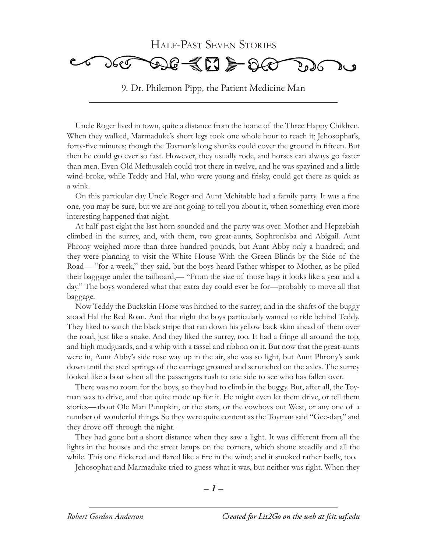

9. Dr. Philemon Pipp, the Patient Medicine Man

Uncle Roger lived in town, quite a distance from the home of the Three Happy Children. When they walked, Marmaduke's short legs took one whole hour to reach it; Jehosophat's, forty-five minutes; though the Toyman's long shanks could cover the ground in fifteen. But then he could go ever so fast. However, they usually rode, and horses can always go faster than men. Even Old Methusaleh could trot there in twelve, and he was spavined and a little wind-broke, while Teddy and Hal, who were young and frisky, could get there as quick as a wink.

On this particular day Uncle Roger and Aunt Mehitable had a family party. It was a fine one, you may be sure, but we are not going to tell you about it, when something even more interesting happened that night.

At half-past eight the last horn sounded and the party was over. Mother and Hepzebiah climbed in the surrey, and, with them, two great-aunts, Sophronisba and Abigail. Aunt Phrony weighed more than three hundred pounds, but Aunt Abby only a hundred; and they were planning to visit the White House With the Green Blinds by the Side of the Road— "for a week," they said, but the boys heard Father whisper to Mother, as he piled their baggage under the tailboard,— "From the size of those bags it looks like a year and a day." The boys wondered what that extra day could ever be for—probably to move all that baggage.

Now Teddy the Buckskin Horse was hitched to the surrey; and in the shafts of the buggy stood Hal the Red Roan. And that night the boys particularly wanted to ride behind Teddy. They liked to watch the black stripe that ran down his yellow back skim ahead of them over the road, just like a snake. And they liked the surrey, too. It had a fringe all around the top, and high mudguards, and a whip with a tassel and ribbon on it. But now that the great-aunts were in, Aunt Abby's side rose way up in the air, she was so light, but Aunt Phrony's sank down until the steel springs of the carriage groaned and scrunched on the axles. The surrey looked like a boat when all the passengers rush to one side to see who has fallen over.

There was no room for the boys, so they had to climb in the buggy. But, after all, the Toyman was to drive, and that quite made up for it. He might even let them drive, or tell them stories—about Ole Man Pumpkin, or the stars, or the cowboys out West, or any one of a number of wonderful things. So they were quite content as the Toyman said "Gee-dap," and they drove off through the night.

They had gone but a short distance when they saw a light. It was different from all the lights in the houses and the street lamps on the corners, which shone steadily and all the while. This one flickered and flared like a fire in the wind; and it smoked rather badly, too.

Jehosophat and Marmaduke tried to guess what it was, but neither was right. When they

$$
-1-
$$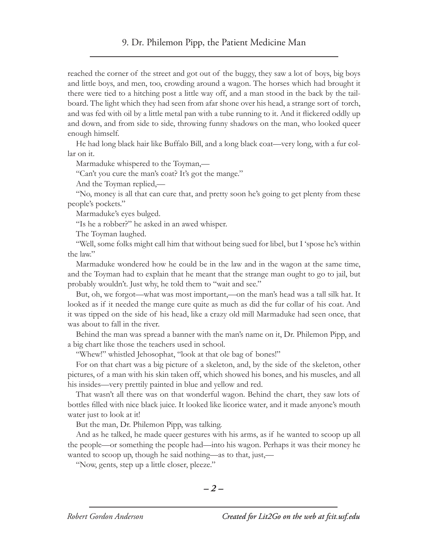reached the corner of the street and got out of the buggy, they saw a lot of boys, big boys and little boys, and men, too, crowding around a wagon. The horses which had brought it there were tied to a hitching post a little way off, and a man stood in the back by the tailboard. The light which they had seen from afar shone over his head, a strange sort of torch, and was fed with oil by a little metal pan with a tube running to it. And it flickered oddly up and down, and from side to side, throwing funny shadows on the man, who looked queer enough himself.

He had long black hair like Buffalo Bill, and a long black coat—very long, with a fur collar on it.

Marmaduke whispered to the Toyman,—

"Can't you cure the man's coat? It's got the mange."

And the Toyman replied,—

"No, money is all that can cure that, and pretty soon he's going to get plenty from these people's pockets."

Marmaduke's eyes bulged.

"Is he a robber?" he asked in an awed whisper.

The Toyman laughed.

"Well, some folks might call him that without being sued for libel, but I 'spose he's within the law."

Marmaduke wondered how he could be in the law and in the wagon at the same time, and the Toyman had to explain that he meant that the strange man ought to go to jail, but probably wouldn't. Just why, he told them to "wait and see."

But, oh, we forgot—what was most important,—on the man's head was a tall silk hat. It looked as if it needed the mange cure quite as much as did the fur collar of his coat. And it was tipped on the side of his head, like a crazy old mill Marmaduke had seen once, that was about to fall in the river.

Behind the man was spread a banner with the man's name on it, Dr. Philemon Pipp, and a big chart like those the teachers used in school.

"Whew!" whistled Jehosophat, "look at that ole bag of bones!"

For on that chart was a big picture of a skeleton, and, by the side of the skeleton, other pictures, of a man with his skin taken off, which showed his bones, and his muscles, and all his insides—very prettily painted in blue and yellow and red.

That wasn't all there was on that wonderful wagon. Behind the chart, they saw lots of bottles filled with nice black juice. It looked like licorice water, and it made anyone's mouth water just to look at it!

But the man, Dr. Philemon Pipp, was talking.

And as he talked, he made queer gestures with his arms, as if he wanted to scoop up all the people—or something the people had—into his wagon. Perhaps it was their money he wanted to scoop up, though he said nothing—as to that, just,—

"Now, gents, step up a little closer, pleeze."

$$
-2-
$$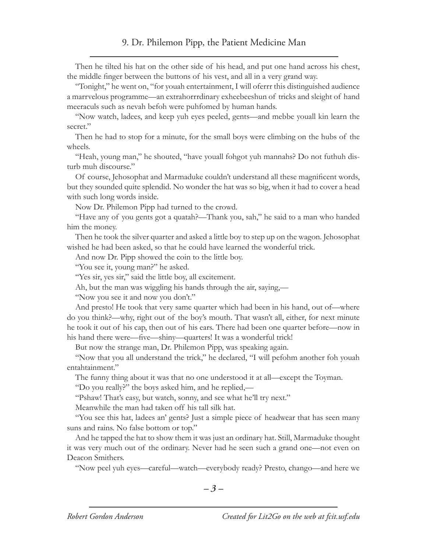Then he tilted his hat on the other side of his head, and put one hand across his chest, the middle finger between the buttons of his vest, and all in a very grand way.

"Tonight," he went on, "for youah entertainment, I will oferrr this distinguished audience a marrvelous programme—an extrahorrrdinary exheebeeshun of tricks and sleight of hand meeraculs such as nevah befoh were puhfomed by human hands.

"Now watch, ladees, and keep yuh eyes peeled, gents—and mebbe youall kin learn the secret."

Then he had to stop for a minute, for the small boys were climbing on the hubs of the wheels.

"Heah, young man," he shouted, "have youall fohgot yuh mannahs? Do not futhuh disturb muh discourse."

Of course, Jehosophat and Marmaduke couldn't understand all these magnificent words, but they sounded quite splendid. No wonder the hat was so big, when it had to cover a head with such long words inside.

Now Dr. Philemon Pipp had turned to the crowd.

"Have any of you gents got a quatah?—Thank you, sah," he said to a man who handed him the money.

Then he took the silver quarter and asked a little boy to step up on the wagon. Jehosophat wished he had been asked, so that he could have learned the wonderful trick.

And now Dr. Pipp showed the coin to the little boy.

"You see it, young man?" he asked.

"Yes sir, yes sir," said the little boy, all excitement.

Ah, but the man was wiggling his hands through the air, saying,—

"Now you see it and now you don't."

And presto! He took that very same quarter which had been in his hand, out of—where do you think?—why, right out of the boy's mouth. That wasn't all, either, for next minute he took it out of his cap, then out of his ears. There had been one quarter before—now in his hand there were—five—shiny—quarters! It was a wonderful trick!

But now the strange man, Dr. Philemon Pipp, was speaking again.

"Now that you all understand the trick," he declared, "I will pefohm another foh youah entahtainment."

The funny thing about it was that no one understood it at all—except the Toyman.

"Do you really?" the boys asked him, and he replied,—

"Pshaw! That's easy, but watch, sonny, and see what he'll try next."

Meanwhile the man had taken off his tall silk hat.

"You see this hat, ladees an' gents? Just a simple piece of headwear that has seen many suns and rains. No false bottom or top."

And he tapped the hat to show them it was just an ordinary hat. Still, Marmaduke thought it was very much out of the ordinary. Never had he seen such a grand one—not even on Deacon Smithers.

"Now peel yuh eyes—careful—watch—everybody ready? Presto, chango—and here we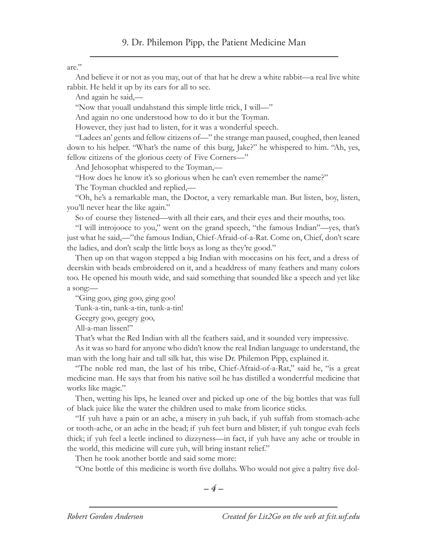are."

And believe it or not as you may, out of that hat he drew a white rabbit—a real live white rabbit. He held it up by its ears for all to see.

And again he said,—

"Now that youall undahstand this simple little trick, I will—"

And again no one understood how to do it but the Toyman.

However, they just had to listen, for it was a wonderful speech.

"Ladees an' gents and fellow citizens of—" the strange man paused, coughed, then leaned down to his helper. "What's the name of this burg, Jake?" he whispered to him. "Ah, yes, fellow citizens of the glorious ceety of Five Corners—"

And Jehosophat whispered to the Toyman,—

"How does he know it's so glorious when he can't even remember the name?"

The Toyman chuckled and replied,—

"Oh, he's a remarkable man, the Doctor, a very remarkable man. But listen, boy, listen, you'll never hear the like again."

So of course they listened—with all their ears, and their eyes and their mouths, too.

"I will introjooce to you," went on the grand speech, "the famous Indian"—yes, that's just what he said,—"the famous Indian, Chief-Afraid-of-a-Rat. Come on, Chief, don't scare the ladies, and don't scalp the little boys as long as they're good."

Then up on that wagon stepped a big Indian with moccasins on his feet, and a dress of deerskin with beads embroidered on it, and a headdress of many feathers and many colors too. He opened his mouth wide, and said something that sounded like a speech and yet like a song:—

"Ging goo, ging goo, ging goo!

Tunk-a-tin, tunk-a-tin, tunk-a-tin!

Geegry goo, geegry goo,

All-a-man lissen!"

That's what the Red Indian with all the feathers said, and it sounded very impressive.

As it was so hard for anyone who didn't know the real Indian language to understand, the man with the long hair and tall silk hat, this wise Dr. Philemon Pipp, explained it.

"The noble red man, the last of his tribe, Chief-Afraid-of-a-Rat," said he, "is a great medicine man. He says that from his native soil he has distilled a wonderrful medicine that works like magic."

Then, wetting his lips, he leaned over and picked up one of the big bottles that was full of black juice like the water the children used to make from licorice sticks.

"If yuh have a pain or an ache, a misery in yuh back, if yuh suffah from stomach-ache or tooth-ache, or an ache in the head; if yuh feet burn and blister; if yuh tongue evah feels thick; if yuh feel a leetle inclined to dizzyness—in fact, if yuh have any ache or trouble in the world, this medicine will cure yuh, will bring instant relief."

Then he took another bottle and said some more:

"One bottle of this medicine is worth five dollahs. Who would not give a paltry five dol-

$$
-4-
$$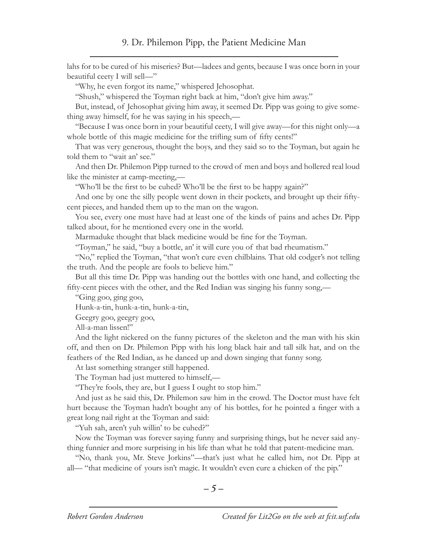lahs for to be cured of his miseries? But—ladees and gents, because I was once born in your beautiful ceety I will sell—"

"Why, he even forgot its name," whispered Jehosophat.

"Shush," whispered the Toyman right back at him, "don't give him away."

But, instead, of Jehosophat giving him away, it seemed Dr. Pipp was going to give something away himself, for he was saying in his speech,—

"Because I was once born in your beautiful ceety, I will give away—for this night only—a whole bottle of this magic medicine for the trifling sum of fifty cents!"

That was very generous, thought the boys, and they said so to the Toyman, but again he told them to "wait an' see."

And then Dr. Philemon Pipp turned to the crowd of men and boys and hollered real loud like the minister at camp-meeting,—

"Who'll be the first to be cuhed? Who'll be the first to be happy again?"

And one by one the silly people went down in their pockets, and brought up their fiftycent pieces, and handed them up to the man on the wagon.

You see, every one must have had at least one of the kinds of pains and aches Dr. Pipp talked about, for he mentioned every one in the world.

Marmaduke thought that black medicine would be fine for the Toyman.

"Toyman," he said, "buy a bottle, an' it will cure you of that bad rheumatism."

"No," replied the Toyman, "that won't cure even chilblains. That old codger's not telling the truth. And the people are fools to believe him."

But all this time Dr. Pipp was handing out the bottles with one hand, and collecting the fifty-cent pieces with the other, and the Red Indian was singing his funny song,—

"Ging goo, ging goo,

Hunk-a-tin, hunk-a-tin, hunk-a-tin,

Geegry goo, geegry goo,

All-a-man lissen!"

And the light nickered on the funny pictures of the skeleton and the man with his skin off, and then on Dr. Philemon Pipp with his long black hair and tall silk hat, and on the feathers of the Red Indian, as he danced up and down singing that funny song.

At last something stranger still happened.

The Toyman had just muttered to himself,—

"They're fools, they are, but I guess I ought to stop him."

And just as he said this, Dr. Philemon saw him in the crowd. The Doctor must have felt hurt because the Toyman hadn't bought any of his bottles, for he pointed a finger with a great long nail right at the Toyman and said:

"Yuh sah, aren't yuh willin' to be cuhed?"

Now the Toyman was forever saying funny and surprising things, but he never said anything funnier and more surprising in his life than what he told that patent-medicine man.

"No, thank you, Mr. Steve Jorkins"—that's just what he called him, not Dr. Pipp at all— "that medicine of yours isn't magic. It wouldn't even cure a chicken of the pip."

$$
-5-
$$